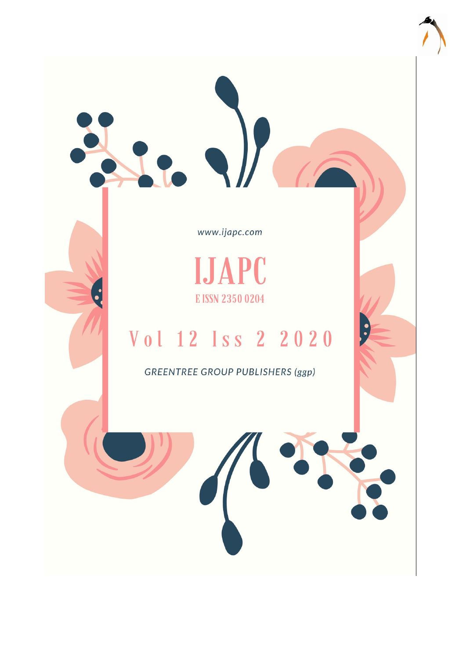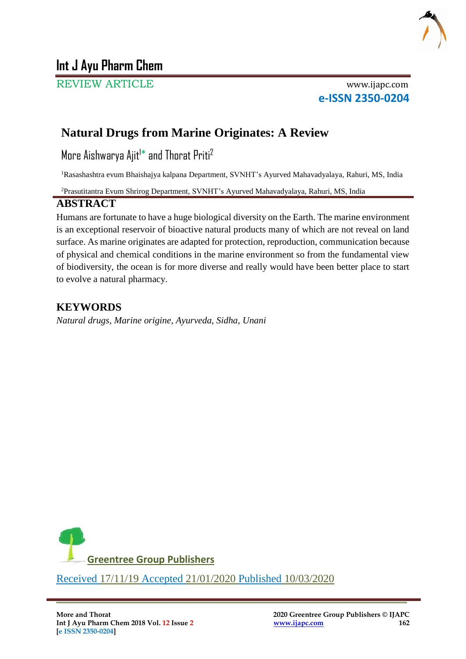

# **Int J Ayu Pharm Chem**

REVIEW ARTICLE www.ijapc.com

**e-ISSN 2350-0204**

# **Natural Drugs from Marine Originates: A Review**

More Aishwarya Ajit<sup>1\*</sup> and Thorat Priti<sup>2</sup>

<sup>1</sup>Rasashashtra evum Bhaishajya kalpana Department, SVNHT's Ayurved Mahavadyalaya, Rahuri, MS, India

<sup>2</sup>Prasutitantra Evum Shrirog Department, SVNHT's Ayurved Mahavadyalaya, Rahuri, MS, India

# **ABSTRACT**

Humans are fortunate to have a huge biological diversity on the Earth. The marine environment is an exceptional reservoir of bioactive natural products many of which are not reveal on land surface. As marine originates are adapted for protection, reproduction, communication because of physical and chemical conditions in the marine environment so from the fundamental view of biodiversity, the ocean is for more diverse and really would have been better place to start to evolve a natural pharmacy.

# **KEYWORDS**

*Natural drugs, Marine origine, Ayurveda, Sidha, Unani*



 $\overline{\phantom{a}}$  , and the contribution of the contribution of the contribution of the contribution of the contribution of the contribution of the contribution of the contribution of the contribution of the contribution of the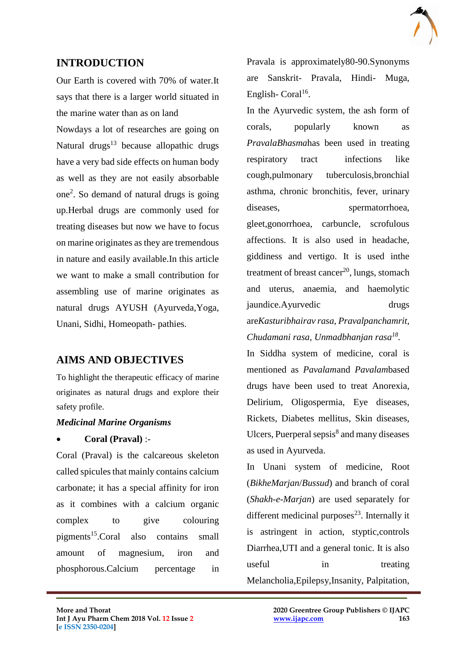

# **INTRODUCTION**

Our Earth is covered with 70% of water.It says that there is a larger world situated in the marine water than as on land

Nowdays a lot of researches are going on Natural drugs $13$  because allopathic drugs have a very bad side effects on human body as well as they are not easily absorbable one<sup>2</sup> . So demand of natural drugs is going up.Herbal drugs are commonly used for treating diseases but now we have to focus on marine originates as they are tremendous in nature and easily available.In this article we want to make a small contribution for assembling use of marine originates as natural drugs AYUSH (Ayurveda,Yoga, Unani, Sidhi, Homeopath- pathies.

# **AIMS AND OBJECTIVES**

To highlight the therapeutic efficacy of marine originates as natural drugs and explore their safety profile.

## *Medicinal Marine Organisms*

## **Coral (Praval)** :-

Coral (Praval) is the calcareous skeleton called spicules that mainly contains calcium carbonate; it has a special affinity for iron as it combines with a calcium organic complex to give colouring pigments<sup>15</sup>.Coral also contains small amount of magnesium, iron and phosphorous.Calcium percentage in

 $\mathcal{L}_\mathcal{L}$  , and the contribution of the contribution of the contribution of the contribution of the contribution of the contribution of the contribution of the contribution of the contribution of the contribution of

Pravala is approximately80-90.Synonyms are Sanskrit- Pravala, Hindi- Muga, English-Coral<sup>16</sup>.

In the Ayurvedic system, the ash form of corals, popularly known as *PravalaBhasma*has been used in treating respiratory tract infections like cough,pulmonary tuberculosis,bronchial asthma, chronic bronchitis, fever, urinary diseases, spermatorrhoea, gleet,gonorrhoea, carbuncle, scrofulous affections. It is also used in headache, giddiness and vertigo. It is used inthe treatment of breast cancer<sup>20</sup>, lungs, stomach and uterus, anaemia, and haemolytic jaundice.Ayurvedic drugs are*Kasturibhairav rasa, Pravalpanchamrit, Chudamani rasa, Unmadbhanjan rasa<sup>18</sup> .*

In Siddha system of medicine, coral is mentioned as *Pavalam*and *Pavalam*based drugs have been used to treat Anorexia, Delirium, Oligospermia, Eye diseases, Rickets, Diabetes mellitus, Skin diseases, Ulcers, Puerperal sepsis<sup>8</sup> and many diseases as used in Ayurveda.

In Unani system of medicine, Root (*BikheMarjan*/*Bussud*) and branch of coral (*Shakh-e-Marjan*) are used separately for different medicinal purposes $^{23}$ . Internally it is astringent in action, styptic,controls Diarrhea,UTI and a general tonic. It is also useful in treating Melancholia,Epilepsy,Insanity, Palpitation,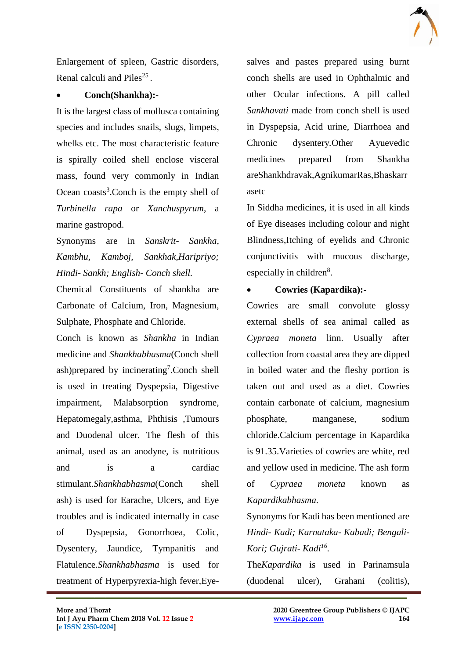

Enlargement of spleen, Gastric disorders, Renal calculi and Piles<sup>25</sup>.

### **Conch(Shankha):-**

It is the largest class of mollusca containing species and includes snails, slugs, limpets, whelks etc. The most characteristic feature is spirally coiled shell enclose visceral mass, found very commonly in Indian Ocean coasts<sup>3</sup>. Conch is the empty shell of *Turbinella rapa* or *Xanchuspyrum*, a marine gastropod.

Synonyms are in *Sanskrit- Sankha, Kambhu, Kamboj, Sankhak,Haripriyo; Hindi- Sankh; English- Conch shell.*

Chemical Constituents of shankha are Carbonate of Calcium, Iron, Magnesium, Sulphate, Phosphate and Chloride.

Conch is known as *Shankha* in Indian medicine and *Shankhabhasma*(Conch shell ash)prepared by incinerating<sup>7</sup>.Conch shell is used in treating Dyspepsia, Digestive impairment, Malabsorption syndrome, Hepatomegaly,asthma, Phthisis ,Tumours and Duodenal ulcer. The flesh of this animal, used as an anodyne, is nutritious and is a cardiac stimulant.*Shankhabhasma*(Conch shell ash) is used for Earache, Ulcers, and Eye troubles and is indicated internally in case of Dyspepsia, Gonorrhoea, Colic, Dysentery, Jaundice, Tympanitis and Flatulence.*Shankhabhasma* is used for treatment of Hyperpyrexia-high fever,Eyesalves and pastes prepared using burnt conch shells are used in Ophthalmic and other Ocular infections. A pill called *Sankhavati* made from conch shell is used in Dyspepsia, Acid urine, Diarrhoea and Chronic dysentery*.*Other Ayuevedic medicines prepared from Shankha areShankhdravak,AgnikumarRas,Bhaskarr asetc

In Siddha medicines, it is used in all kinds of Eye diseases including colour and night Blindness,Itching of eyelids and Chronic conjunctivitis with mucous discharge, especially in children<sup>8</sup>.

## **Cowries (Kapardika):-**

Cowries are small convolute glossy external shells of sea animal called as *Cypraea moneta* linn. Usually after collection from coastal area they are dipped in boiled water and the fleshy portion is taken out and used as a diet. Cowries contain carbonate of calcium, magnesium phosphate, manganese, sodium chloride.Calcium percentage in Kapardika is 91.35.Varieties of cowries are white, red and yellow used in medicine. The ash form of *Cypraea moneta* known as *Kapardikabhasma*.

Synonyms for Kadi has been mentioned are *Hindi- Kadi; Karnataka- Kabadi; Bengali-Kori; Gujrati- Kadi<sup>16</sup> .*

The*Kapardika* is used in Parinamsula (duodenal ulcer), Grahani (colitis),

 $\mathcal{L}_\mathcal{L}$  , and the contribution of the contribution of the contribution of the contribution of the contribution of the contribution of the contribution of the contribution of the contribution of the contribution of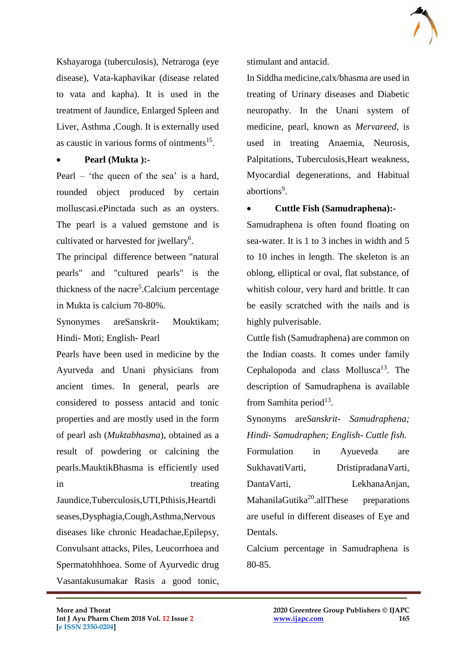

Kshayaroga (tuberculosis), Netraroga (eye disease), Vata-kaphavikar (disease related to vata and kapha). It is used in the treatment of Jaundice, Enlarged Spleen and Liver, Asthma ,Cough. It is externally used as caustic in various forms of ointments<sup>15</sup>.

#### **Pearl (Mukta ):-**

Pearl – 'the queen of the sea' is a hard, rounded object produced by certain molluscasi.ePinctada such as an oysters. The pearl is a valued gemstone and is cultivated or harvested for jwellary<sup>6</sup>.

The principal difference between "natural pearls" and "cultured pearls" is the thickness of the nacre<sup>5</sup>.Calcium percentage in Mukta is calcium 70-80%.

Synonymes areSanskrit- Mouktikam; Hindi- Moti; English- Pearl

Pearls have been used in medicine by the Ayurveda and Unani physicians from ancient times. In general, pearls are considered to possess antacid and tonic properties and are mostly used in the form of pearl ash (*Muktabhasma*), obtained as a result of powdering or calcining the pearls.MauktikBhasma is efficiently used in treating treating

Jaundice,Tuberculosis,UTI,Pthisis,Heartdi seases,Dysphagia,Cough,Asthma,Nervous diseases like chronic Headachae,Epilepsy, Convulsant attacks, Piles, Leucorrhoea and Spermatohhhoea. Some of Ayurvedic drug Vasantakusumakar Rasis a good tonic,

 $\mathcal{L}_\mathcal{L}$  , and the contribution of the contribution of the contribution of the contribution of the contribution of the contribution of the contribution of the contribution of the contribution of the contribution of

stimulant and antacid.

In Siddha medicine,calx/bhasma are used in treating of Urinary diseases and Diabetic neuropathy. In the Unani system of medicine, pearl, known as *Mervareed*, is used in treating Anaemia, Neurosis, Palpitations, Tuberculosis,Heart weakness, Myocardial degenerations, and Habitual abortions<sup>9</sup>.

**Cuttle Fish (Samudraphena):-**

Samudraphena is often found floating on sea-water. It is 1 to 3 inches in width and 5 to 10 inches in length. The skeleton is an oblong, elliptical or oval, flat substance, of whitish colour, very hard and brittle. It can be easily scratched with the nails and is highly pulverisable.

Cuttle fish (Samudraphena) are common on the Indian coasts. It comes under family Cephalopoda and class Mollusca<sup>13</sup>. The description of Samudraphena is available from Samhita period<sup>13</sup>.

Synonyms are*Sanskrit- Samudraphena; Hindi- Samudraphen; English- Cuttle fish.*

Formulation in Ayueveda are SukhavatiVarti, DristipradanaVarti, DantaVarti, LekhanaAnjan, MahanilaGutika<sup>20</sup>.allThese preparations are useful in different diseases of Eye and Dentals.

Calcium percentage in Samudraphena is 80-85.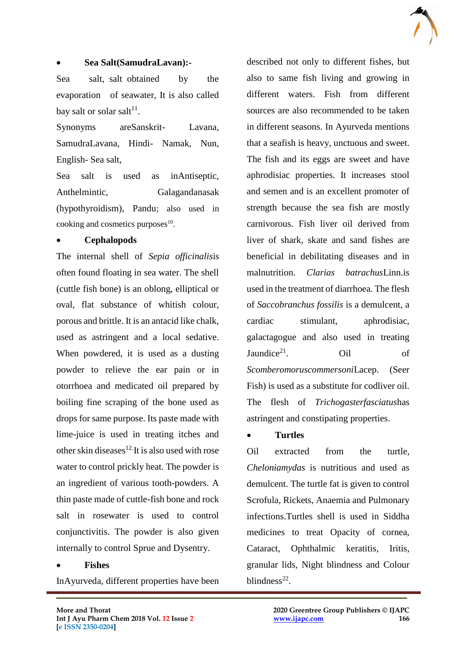

#### **Sea Salt(SamudraLavan):-**

Sea salt, salt obtained by the evaporation of seawater, It is also called bay salt or solar salt $^{11}$ .

Synonyms areSanskrit- Lavana, SamudraLavana, Hindi- Namak, Nun, English- Sea salt,

Sea salt is used as inAntiseptic, Anthelmintic, Galagandanasak (hypothyroidism), Pandu; also used in cooking and cosmetics purposes<sup>10</sup>.

#### **Cephalopods**

The internal shell of *Sepia officinalis*is often found floating in sea water. The shell (cuttle fish bone) is an oblong, elliptical or oval, flat substance of whitish colour, porous and brittle. It is an antacid like chalk, used as astringent and a local sedative. When powdered, it is used as a dusting powder to relieve the ear pain or in otorrhoea and medicated oil prepared by boiling fine scraping of the bone used as drops for same purpose. Its paste made with lime-juice is used in treating itches and other skin diseases $12$ <sup>-</sup>It is also used with rose water to control prickly heat. The powder is an ingredient of various tooth-powders. A thin paste made of cuttle-fish bone and rock salt in rosewater is used to control conjunctivitis. The powder is also given internally to control Sprue and Dysentry.

#### **Fishes**

InAyurveda, different properties have been

described not only to different fishes, but also to same fish living and growing in different waters. Fish from different sources are also recommended to be taken in different seasons. In Ayurveda mentions that a seafish is heavy, unctuous and sweet. The fish and its eggs are sweet and have aphrodisiac properties. It increases stool and semen and is an excellent promoter of strength because the sea fish are mostly carnivorous. Fish liver oil derived from liver of shark, skate and sand fishes are beneficial in debilitating diseases and in malnutrition. *Clarias batrachus*Linn.is used in the treatment of diarrhoea. The flesh of *Saccobranchus fossilis* is a demulcent, a cardiac stimulant, aphrodisiac, galactagogue and also used in treating Jaundice<sup>21</sup>. Oil of *Scomberomoruscommersoni*Lacep. (Seer Fish) is used as a substitute for codliver oil. The flesh of *Trichogasterfasciatus*has astringent and constipating properties.

#### **Turtles**

 $\mathcal{L}_\mathcal{L}$  , and the contribution of the contribution of the contribution of the contribution of the contribution of the contribution of the contribution of the contribution of the contribution of the contribution of

Oil extracted from the turtle, *Cheloniamydas* is nutritious and used as demulcent. The turtle fat is given to control Scrofula, Rickets, Anaemia and Pulmonary infections.Turtles shell is used in Siddha medicines to treat Opacity of cornea, Cataract, Ophthalmic keratitis, Iritis, granular lids, Night blindness and Colour blindness $^{22}$ .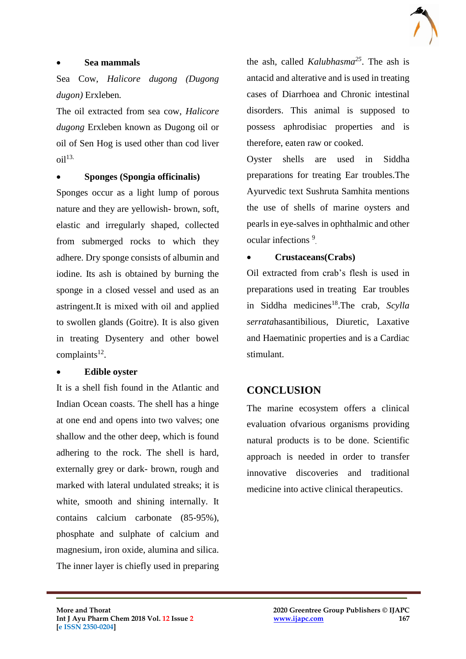

### **Sea mammals**

Sea Cow, *Halicore dugong (Dugong dugon)* Erxleben*.*

The oil extracted from sea cow, *Halicore dugong* Erxleben known as Dugong oil or oil of Sen Hog is used other than cod liver  $\delta$ il<sup>13.</sup>

#### **Sponges (Spongia officinalis)**

Sponges occur as a light lump of porous nature and they are yellowish- brown, soft, elastic and irregularly shaped, collected from submerged rocks to which they adhere. Dry sponge consists of albumin and iodine. Its ash is obtained by burning the sponge in a closed vessel and used as an astringent.It is mixed with oil and applied to swollen glands (Goitre). It is also given in treating Dysentery and other bowel  $complaints<sup>12</sup>$ .

#### **Edible oyster**

It is a shell fish found in the Atlantic and Indian Ocean coasts. The shell has a hinge at one end and opens into two valves; one shallow and the other deep, which is found adhering to the rock. The shell is hard, externally grey or dark- brown, rough and marked with lateral undulated streaks; it is white, smooth and shining internally. It contains calcium carbonate (85-95%), phosphate and sulphate of calcium and magnesium, iron oxide, alumina and silica. The inner layer is chiefly used in preparing

the ash, called *Kalubhasma<sup>25</sup>*. The ash is antacid and alterative and is used in treating cases of Diarrhoea and Chronic intestinal disorders. This animal is supposed to possess aphrodisiac properties and is therefore, eaten raw or cooked.

Oyster shells are used in Siddha preparations for treating Ear troubles.The Ayurvedic text Sushruta Samhita mentions the use of shells of marine oysters and pearls in eye-salves in ophthalmic and other ocular infections<sup>9</sup>.

## **Crustaceans(Crabs)**

Oil extracted from crab's flesh is used in preparations used in treating Ear troubles in Siddha medicines<sup>18</sup>.The crab, *Scylla serrata*hasantibilious, Diuretic, Laxative and Haematinic properties and is a Cardiac stimulant.

# **CONCLUSION**

 $\mathcal{L}_\mathcal{L}$  , and the contribution of the contribution of the contribution of the contribution of the contribution of the contribution of the contribution of the contribution of the contribution of the contribution of

The marine ecosystem offers a clinical evaluation ofvarious organisms providing natural products is to be done. Scientific approach is needed in order to transfer innovative discoveries and traditional medicine into active clinical therapeutics.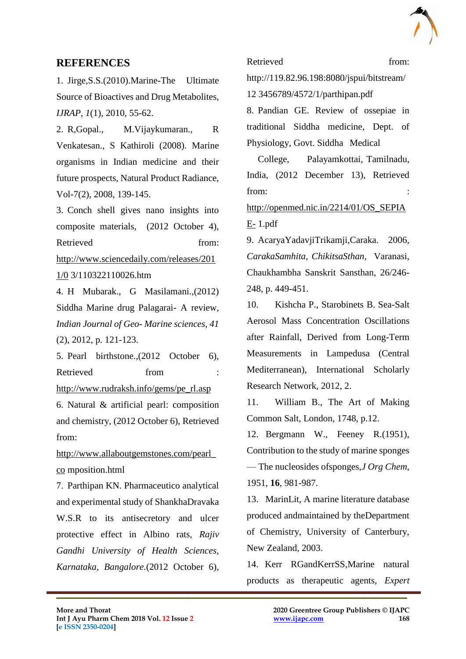

# **REFERENCES**

1. Jirge,S.S.(2010).Marine-The Ultimate Source of Bioactives and Drug Metabolites, *IJRAP, 1*(1), 2010, 55-62.

2. R,Gopal., M.Vijaykumaran., R Venkatesan., S Kathiroli (2008). Marine organisms in Indian medicine and their future prospects, Natural Product Radiance, Vol-7(2), 2008, 139-145.

3. Conch shell gives nano insights into composite materials, (2012 October 4), Retrieved from[:](about:blank)

[http://www.sciencedaily.com/releases/201](about:blank) [1/0](about:blank) 3/110322110026.htm

4. H Mubarak., G Masilamani.,(2012) Siddha Marine drug Palagarai- A review, *Indian Journal of Geo- Marine sciences, 41* (2), 2012, p. 121-123.

5. Pearl birthstone.,(2012 October 6), Retrieved from [:](about:blank) [http://www.rudraksh.info/gems/pe\\_rl.asp](about:blank)

6. Natural & artificial pearl: composition and chemistry, (2012 October 6), Retrieved from[:](about:blank)

[http://www.allaboutgemstones.com/pearl\\_](about:blank) [co](about:blank) mposition.html

7. Parthipan KN. Pharmaceutico analytical and experimental study of ShankhaDravaka W.S.R to its antisecretory and ulcer protective effect in Albino rats, *Rajiv Gandhi University of Health Sciences, Karnataka, Bangalore.*(2012 October 6),

Retrieved from:

http://119.82.96.198:8080/jspui/bitstream/ 12 3456789/4572/1/parthipan.pdf 8. Pandian GE. Review of ossepiae in traditional Siddha medicine, Dept. of

Physiology, Govt. Siddha Medical

College, Palayamkottai, Tamilnadu, India, (2012 December 13), Retrieved from[:](about:blank)

[http://openmed.nic.in/2214/01/OS\\_SEPIA](about:blank) [E-](about:blank) 1.pdf

9. AcaryaYadavjiTrikamji,Caraka. 2006, *CarakaSamhita, ChikitsaSthan,* Varanasi, Chaukhambha Sanskrit Sansthan, 26/246- 248, p. 449-451.

10. Kishcha P., Starobinets B. Sea-Salt Aerosol Mass Concentration Oscillations after Rainfall, Derived from Long-Term Measurements in Lampedusa (Central Mediterranean), International Scholarly Research Network, 2012, 2.

11. William B., The Art of Making Common Salt, London, 1748, p.12.

12. Bergmann W., Feeney R.(1951), Contribution to the study of marine sponges — The nucleosides ofsponges,*J Org Chem*, 1951, **16**, 981-987.

13. MarinLit, A marine literature database produced andmaintained by theDepartment of Chemistry, University of Canterbury, New Zealand, 2003.

14. Kerr RGandKerrSS,Marine natural products as therapeutic agents, *Expert* 

 $\mathcal{L}_\mathcal{L}$  , and the contribution of the contribution of the contribution of the contribution of the contribution of the contribution of the contribution of the contribution of the contribution of the contribution of